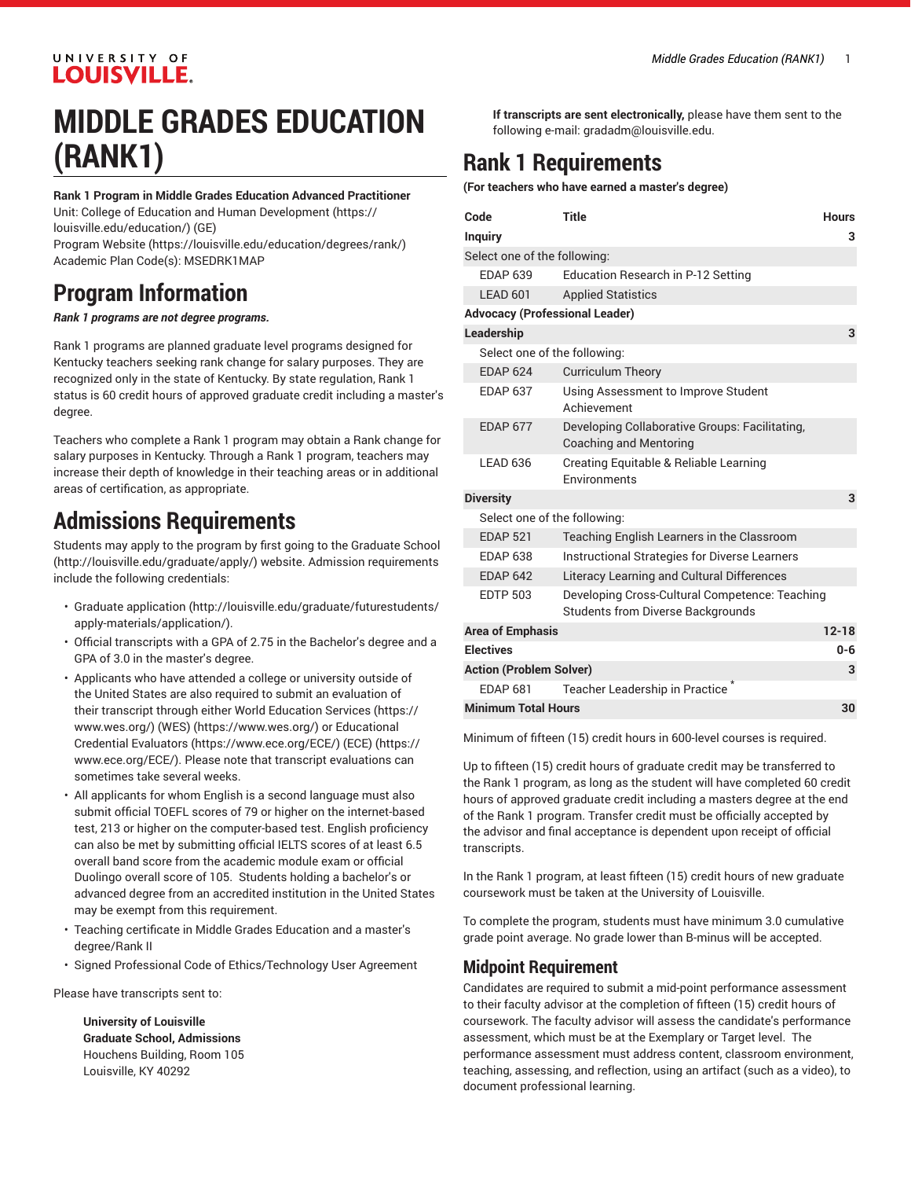#### UNIVERSITY OF **LOUISVILLE.**

## **MIDDLE GRADES EDUCATION (RANK1)**

**Rank 1 Program in Middle Grades Education Advanced Practitioner** Unit: College of Education and Human [Development \(https://](https://louisville.edu/education/) [louisville.edu/education/](https://louisville.edu/education/)) (GE) [Program](https://louisville.edu/education/degrees/rank/) Website [\(https://louisville.edu/education/degrees/rank/](https://louisville.edu/education/degrees/rank/)) Academic Plan Code(s): MSEDRK1MAP

## **Program Information**

*Rank 1 programs are not degree programs.*

Rank 1 programs are planned graduate level programs designed for Kentucky teachers seeking rank change for salary purposes. They are recognized only in the state of Kentucky. By state regulation, Rank 1 status is 60 credit hours of approved graduate credit including a master's degree.

Teachers who complete a Rank 1 program may obtain a Rank change for salary purposes in Kentucky. Through a Rank 1 program, teachers may increase their depth of knowledge in their teaching areas or in additional areas of certification, as appropriate.

## **Admissions Requirements**

Students may apply to the program by first going to the [Graduate School](http://louisville.edu/graduate/apply/) ([http://louisville.edu/graduate/apply/\)](http://louisville.edu/graduate/apply/) website. Admission requirements include the following credentials:

- [Graduate application](http://louisville.edu/graduate/futurestudents/apply-materials/application/) ([http://louisville.edu/graduate/futurestudents/](http://louisville.edu/graduate/futurestudents/apply-materials/application/) [apply-materials/application/](http://louisville.edu/graduate/futurestudents/apply-materials/application/)).
- Official transcripts with a GPA of 2.75 in the Bachelor's degree and a GPA of 3.0 in the master's degree.
- Applicants who have attended a college or university outside of the United States are also required to submit an evaluation of their transcript through either World [Education](https://www.wes.org/) Services ([https://](https://www.wes.org/) [www.wes.org/](https://www.wes.org/)) (WE[S\)](https://www.wes.org/) ([https://www.wes.org/\)](https://www.wes.org/) or [Educational](https://www.ece.org/ECE/) Credential [Evaluators \(https://www.ece.org/ECE/](https://www.ece.org/ECE/)) (ECE[\)](https://www.ece.org/ECE/) [\(https://](https://www.ece.org/ECE/) [www.ece.org/ECE/](https://www.ece.org/ECE/)). Please note that transcript evaluations can sometimes take several weeks.
- All applicants for whom English is a second language must also submit official TOEFL scores of 79 or higher on the internet-based test, 213 or higher on the computer-based test. English proficiency can also be met by submitting official IELTS scores of at least 6.5 overall band score from the academic module exam or official Duolingo overall score of 105. Students holding a bachelor's or advanced degree from an accredited institution in the United States may be exempt from this requirement.
- Teaching certificate in Middle Grades Education and a master's degree/Rank II
- Signed Professional Code of Ethics/Technology User Agreement

Please have transcripts sent to:

**University of Louisville Graduate School, Admissions** Houchens Building, Room 105 Louisville, KY 40292

**If transcripts are sent electronically,** please have them sent to the following e-mail: [gradadm@louisville.edu](mailto:gradadm@louisville.edu).

## **Rank 1 Requirements**

**(For teachers who have earned a master's degree)**

| Code<br><b>Inquiry</b>                | Title                                                                               | <b>Hours</b><br>з |
|---------------------------------------|-------------------------------------------------------------------------------------|-------------------|
| Select one of the following:          |                                                                                     |                   |
| <b>FDAP 639</b>                       | Education Research in P-12 Setting                                                  |                   |
| LEAD 601                              | <b>Applied Statistics</b>                                                           |                   |
| <b>Advocacy (Professional Leader)</b> |                                                                                     |                   |
| Leadership                            |                                                                                     | 3                 |
| Select one of the following:          |                                                                                     |                   |
| <b>EDAP 624</b>                       | <b>Curriculum Theory</b>                                                            |                   |
| <b>FDAP 637</b>                       | Using Assessment to Improve Student<br>Achievement                                  |                   |
| <b>FDAP 677</b>                       | Developing Collaborative Groups: Facilitating,<br><b>Coaching and Mentoring</b>     |                   |
| <b>LEAD 636</b>                       | Creating Equitable & Reliable Learning<br>Fnvironments                              |                   |
| <b>Diversity</b>                      |                                                                                     | 3                 |
| Select one of the following:          |                                                                                     |                   |
| <b>EDAP 521</b>                       | Teaching English Learners in the Classroom                                          |                   |
| <b>EDAP 638</b>                       | <b>Instructional Strategies for Diverse Learners</b>                                |                   |
| <b>FDAP 642</b>                       | <b>Literacy Learning and Cultural Differences</b>                                   |                   |
| <b>EDTP 503</b>                       | Developing Cross-Cultural Competence: Teaching<br>Students from Diverse Backgrounds |                   |
| <b>Area of Emphasis</b>               |                                                                                     | $12 - 18$         |
| <b>Electives</b>                      |                                                                                     | $0 - 6$           |
| <b>Action (Problem Solver)</b>        |                                                                                     | 3                 |
| <b>EDAP 681</b>                       | Teacher Leadership in Practice                                                      |                   |
| <b>Minimum Total Hours</b>            |                                                                                     | 30                |

Minimum of fifteen (15) credit hours in 600-level courses is required.

Up to fifteen (15) credit hours of graduate credit may be transferred to the Rank 1 program, as long as the student will have completed 60 credit hours of approved graduate credit including a masters degree at the end of the Rank 1 program. Transfer credit must be officially accepted by the advisor and final acceptance is dependent upon receipt of official transcripts.

In the Rank 1 program, at least fifteen (15) credit hours of new graduate coursework must be taken at the University of Louisville.

To complete the program, students must have minimum 3.0 cumulative grade point average. No grade lower than B-minus will be accepted.

#### **Midpoint Requirement**

Candidates are required to submit a mid-point performance assessment to their faculty advisor at the completion of fifteen (15) credit hours of coursework. The faculty advisor will assess the candidate's performance assessment, which must be at the Exemplary or Target level. The performance assessment must address content, classroom environment, teaching, assessing, and reflection, using an artifact (such as a video), to document professional learning.